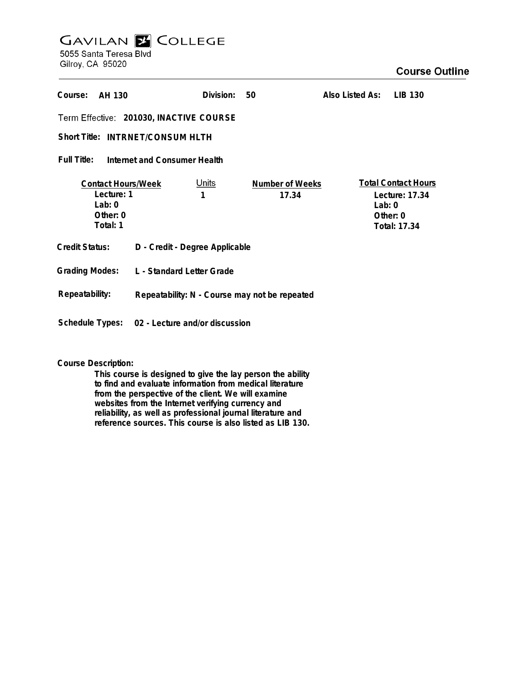## **GAVILAN Z COLLEGE** 5055 Santa Teresa Blvd

Gilroy, CA 95020

| Course:<br>AH 130                                                             |                                               | Division:         | 50                              | Also Listed As: | LIB 130                                                                    |
|-------------------------------------------------------------------------------|-----------------------------------------------|-------------------|---------------------------------|-----------------|----------------------------------------------------------------------------|
| Term Effective: 201030, INACTIVE COURSE                                       |                                               |                   |                                 |                 |                                                                            |
| Short Title: INTRNET/CONSUM HLTH                                              |                                               |                   |                                 |                 |                                                                            |
| Full Title:<br>Internet and Consumer Health                                   |                                               |                   |                                 |                 |                                                                            |
| <b>Contact Hours/Week</b><br>Lecture: 1<br>Lab: $0$<br>Other: $0$<br>Total: 1 |                                               | <u>Units</u><br>1 | <b>Number of Weeks</b><br>17.34 | Lab: $0$        | <b>Total Contact Hours</b><br>Lecture: 17.34<br>Other: $0$<br>Total: 17.34 |
| <b>Credit Status:</b>                                                         | D - Credit - Degree Applicable                |                   |                                 |                 |                                                                            |
| <b>Grading Modes:</b>                                                         | L - Standard Letter Grade                     |                   |                                 |                 |                                                                            |
| Repeatability:                                                                | Repeatability: N - Course may not be repeated |                   |                                 |                 |                                                                            |
| Schedule Types:                                                               | 02 - Lecture and/or discussion                |                   |                                 |                 |                                                                            |

**Course Description:**

**This course is designed to give the lay person the ability to find and evaluate information from medical literature from the perspective of the client. We will examine websites from the Internet verifying currency and reliability, as well as professional journal literature and reference sources. This course is also listed as LIB 130.**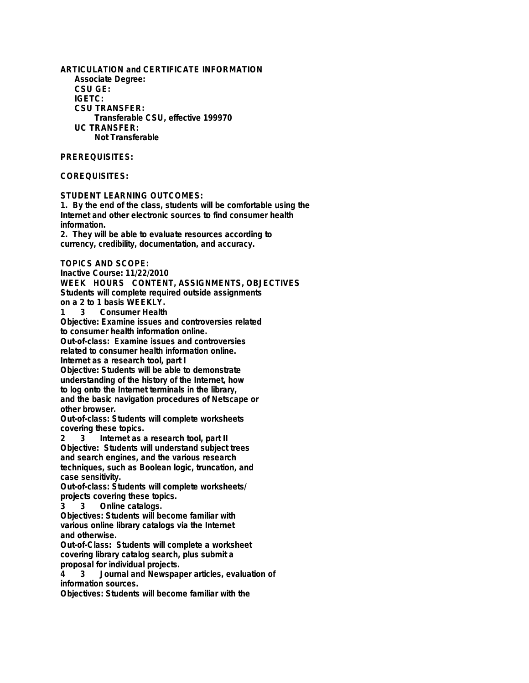**ARTICULATION and CERTIFICATE INFORMATION Associate Degree: CSU GE: IGETC: CSU TRANSFER: Transferable CSU, effective 199970 UC TRANSFER: Not Transferable**

## **PREREQUISITES:**

## **COREQUISITES:**

**STUDENT LEARNING OUTCOMES:**

**1. By the end of the class, students will be comfortable using the Internet and other electronic sources to find consumer health information.**

**2. They will be able to evaluate resources according to currency, credibility, documentation, and accuracy.**

## **TOPICS AND SCOPE:**

**Inactive Course: 11/22/2010 WEEK HOURS CONTENT, ASSIGNMENTS, OBJECTIVES Students will complete required outside assignments on a 2 to 1 basis WEEKLY.**

**1 3 Consumer Health**

**Objective: Examine issues and controversies related to consumer health information online.**

**Out-of-class: Examine issues and controversies related to consumer health information online.**

**Internet as a research tool, part I**

**Objective: Students will be able to demonstrate understanding of the history of the Internet, how to log onto the Internet terminals in the library, and the basic navigation procedures of Netscape or other browser.**

**Out-of-class: Students will complete worksheets covering these topics.**

**2 3 Internet as a research tool, part II Objective: Students will understand subject trees and search engines, and the various research techniques, such as Boolean logic, truncation, and case sensitivity.**

**Out-of-class: Students will complete worksheets/ projects covering these topics.**

**3 3 Online catalogs.**

**Objectives: Students will become familiar with various online library catalogs via the Internet and otherwise.**

**Out-of-Class: Students will complete a worksheet covering library catalog search, plus submit a proposal for individual projects.**

**4 3 Journal and Newspaper articles, evaluation of information sources.**

**Objectives: Students will become familiar with the**